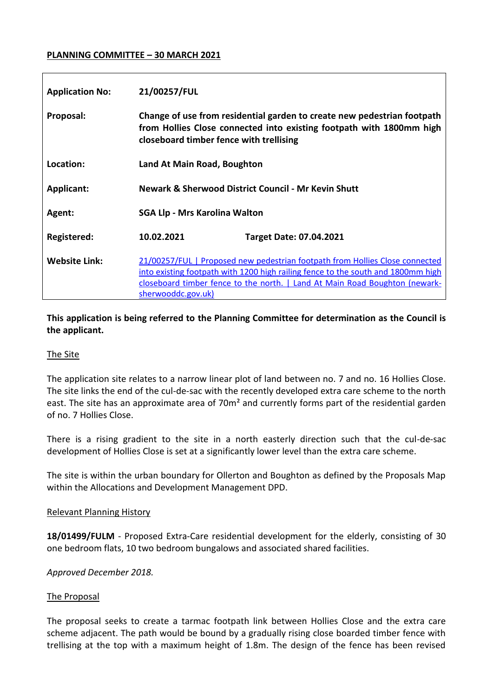## **PLANNING COMMITTEE – 30 MARCH 2021**

| <b>Application No:</b> | 21/00257/FUL                                                                                                                                                                                                                                                          |                                |
|------------------------|-----------------------------------------------------------------------------------------------------------------------------------------------------------------------------------------------------------------------------------------------------------------------|--------------------------------|
| Proposal:              | Change of use from residential garden to create new pedestrian footpath<br>from Hollies Close connected into existing footpath with 1800mm high<br>closeboard timber fence with trellising                                                                            |                                |
| Location:              | Land At Main Road, Boughton                                                                                                                                                                                                                                           |                                |
| <b>Applicant:</b>      | Newark & Sherwood District Council - Mr Kevin Shutt                                                                                                                                                                                                                   |                                |
| Agent:                 | <b>SGA Llp - Mrs Karolina Walton</b>                                                                                                                                                                                                                                  |                                |
| Registered:            | 10.02.2021                                                                                                                                                                                                                                                            | <b>Target Date: 07.04.2021</b> |
| <b>Website Link:</b>   | 21/00257/FUL   Proposed new pedestrian footpath from Hollies Close connected<br>into existing footpath with 1200 high railing fence to the south and 1800mm high<br>closeboard timber fence to the north.   Land At Main Road Boughton (newark-<br>sherwooddc.gov.uk) |                                |

# **This application is being referred to the Planning Committee for determination as the Council is the applicant.**

#### The Site

The application site relates to a narrow linear plot of land between no. 7 and no. 16 Hollies Close. The site links the end of the cul-de-sac with the recently developed extra care scheme to the north east. The site has an approximate area of 70m<sup>2</sup> and currently forms part of the residential garden of no. 7 Hollies Close.

There is a rising gradient to the site in a north easterly direction such that the cul-de-sac development of Hollies Close is set at a significantly lower level than the extra care scheme.

The site is within the urban boundary for Ollerton and Boughton as defined by the Proposals Map within the Allocations and Development Management DPD.

#### Relevant Planning History

**18/01499/FULM** - Proposed Extra-Care residential development for the elderly, consisting of 30 one bedroom flats, 10 two bedroom bungalows and associated shared facilities.

*Approved December 2018.* 

#### The Proposal

The proposal seeks to create a tarmac footpath link between Hollies Close and the extra care scheme adjacent. The path would be bound by a gradually rising close boarded timber fence with trellising at the top with a maximum height of 1.8m. The design of the fence has been revised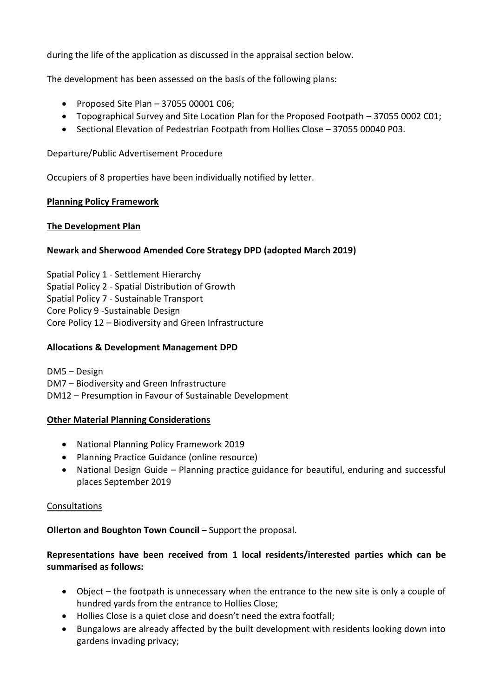during the life of the application as discussed in the appraisal section below.

The development has been assessed on the basis of the following plans:

- $\bullet$  Proposed Site Plan 37055 00001 C06;
- Topographical Survey and Site Location Plan for the Proposed Footpath 37055 0002 C01;
- Sectional Elevation of Pedestrian Footpath from Hollies Close 37055 00040 P03.

# Departure/Public Advertisement Procedure

Occupiers of 8 properties have been individually notified by letter.

# **Planning Policy Framework**

# **The Development Plan**

# **Newark and Sherwood Amended Core Strategy DPD (adopted March 2019)**

Spatial Policy 1 - Settlement Hierarchy Spatial Policy 2 - Spatial Distribution of Growth Spatial Policy 7 - Sustainable Transport Core Policy 9 -Sustainable Design Core Policy 12 – Biodiversity and Green Infrastructure

# **Allocations & Development Management DPD**

DM5 – Design

DM7 – Biodiversity and Green Infrastructure

DM12 – Presumption in Favour of Sustainable Development

#### **Other Material Planning Considerations**

- National Planning Policy Framework 2019
- Planning Practice Guidance (online resource)
- National Design Guide Planning practice guidance for beautiful, enduring and successful places September 2019

#### Consultations

**Ollerton and Boughton Town Council –** Support the proposal.

# **Representations have been received from 1 local residents/interested parties which can be summarised as follows:**

- Object the footpath is unnecessary when the entrance to the new site is only a couple of hundred yards from the entrance to Hollies Close;
- Hollies Close is a quiet close and doesn't need the extra footfall;
- Bungalows are already affected by the built development with residents looking down into gardens invading privacy;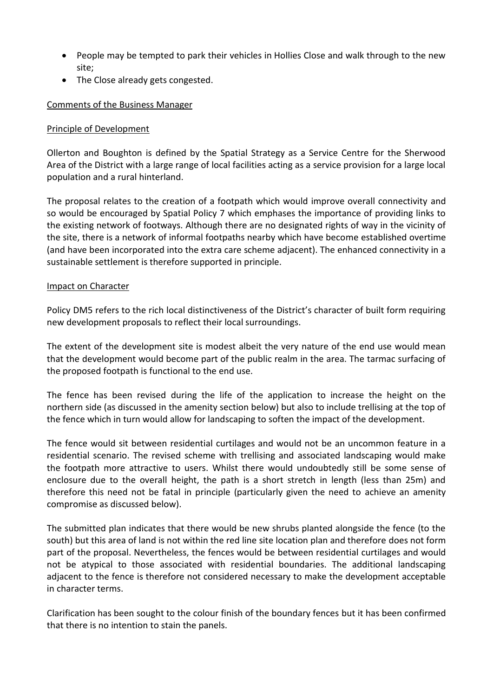- People may be tempted to park their vehicles in Hollies Close and walk through to the new site;
- The Close already gets congested.

# Comments of the Business Manager

## Principle of Development

Ollerton and Boughton is defined by the Spatial Strategy as a Service Centre for the Sherwood Area of the District with a large range of local facilities acting as a service provision for a large local population and a rural hinterland.

The proposal relates to the creation of a footpath which would improve overall connectivity and so would be encouraged by Spatial Policy 7 which emphases the importance of providing links to the existing network of footways. Although there are no designated rights of way in the vicinity of the site, there is a network of informal footpaths nearby which have become established overtime (and have been incorporated into the extra care scheme adjacent). The enhanced connectivity in a sustainable settlement is therefore supported in principle.

#### Impact on Character

Policy DM5 refers to the rich local distinctiveness of the District's character of built form requiring new development proposals to reflect their local surroundings.

The extent of the development site is modest albeit the very nature of the end use would mean that the development would become part of the public realm in the area. The tarmac surfacing of the proposed footpath is functional to the end use.

The fence has been revised during the life of the application to increase the height on the northern side (as discussed in the amenity section below) but also to include trellising at the top of the fence which in turn would allow for landscaping to soften the impact of the development.

The fence would sit between residential curtilages and would not be an uncommon feature in a residential scenario. The revised scheme with trellising and associated landscaping would make the footpath more attractive to users. Whilst there would undoubtedly still be some sense of enclosure due to the overall height, the path is a short stretch in length (less than 25m) and therefore this need not be fatal in principle (particularly given the need to achieve an amenity compromise as discussed below).

The submitted plan indicates that there would be new shrubs planted alongside the fence (to the south) but this area of land is not within the red line site location plan and therefore does not form part of the proposal. Nevertheless, the fences would be between residential curtilages and would not be atypical to those associated with residential boundaries. The additional landscaping adjacent to the fence is therefore not considered necessary to make the development acceptable in character terms.

Clarification has been sought to the colour finish of the boundary fences but it has been confirmed that there is no intention to stain the panels.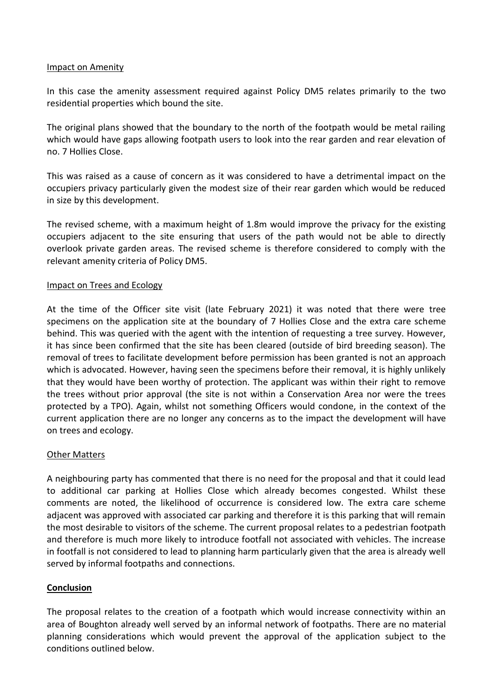#### Impact on Amenity

In this case the amenity assessment required against Policy DM5 relates primarily to the two residential properties which bound the site.

The original plans showed that the boundary to the north of the footpath would be metal railing which would have gaps allowing footpath users to look into the rear garden and rear elevation of no. 7 Hollies Close.

This was raised as a cause of concern as it was considered to have a detrimental impact on the occupiers privacy particularly given the modest size of their rear garden which would be reduced in size by this development.

The revised scheme, with a maximum height of 1.8m would improve the privacy for the existing occupiers adjacent to the site ensuring that users of the path would not be able to directly overlook private garden areas. The revised scheme is therefore considered to comply with the relevant amenity criteria of Policy DM5.

# Impact on Trees and Ecology

At the time of the Officer site visit (late February 2021) it was noted that there were tree specimens on the application site at the boundary of 7 Hollies Close and the extra care scheme behind. This was queried with the agent with the intention of requesting a tree survey. However, it has since been confirmed that the site has been cleared (outside of bird breeding season). The removal of trees to facilitate development before permission has been granted is not an approach which is advocated. However, having seen the specimens before their removal, it is highly unlikely that they would have been worthy of protection. The applicant was within their right to remove the trees without prior approval (the site is not within a Conservation Area nor were the trees protected by a TPO). Again, whilst not something Officers would condone, in the context of the current application there are no longer any concerns as to the impact the development will have on trees and ecology.

# **Other Matters**

A neighbouring party has commented that there is no need for the proposal and that it could lead to additional car parking at Hollies Close which already becomes congested. Whilst these comments are noted, the likelihood of occurrence is considered low. The extra care scheme adjacent was approved with associated car parking and therefore it is this parking that will remain the most desirable to visitors of the scheme. The current proposal relates to a pedestrian footpath and therefore is much more likely to introduce footfall not associated with vehicles. The increase in footfall is not considered to lead to planning harm particularly given that the area is already well served by informal footpaths and connections.

#### **Conclusion**

The proposal relates to the creation of a footpath which would increase connectivity within an area of Boughton already well served by an informal network of footpaths. There are no material planning considerations which would prevent the approval of the application subject to the conditions outlined below.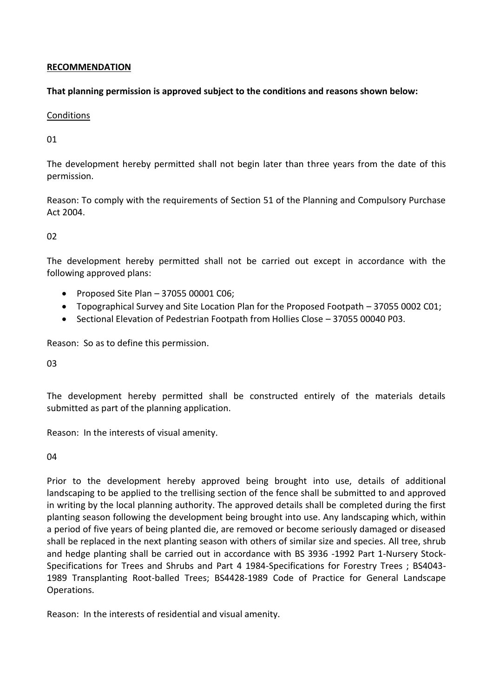## **RECOMMENDATION**

## **That planning permission is approved subject to the conditions and reasons shown below:**

## Conditions

# 01

The development hereby permitted shall not begin later than three years from the date of this permission.

Reason: To comply with the requirements of Section 51 of the Planning and Compulsory Purchase Act 2004.

02

The development hereby permitted shall not be carried out except in accordance with the following approved plans:

- $\bullet$  Proposed Site Plan 37055 00001 C06;
- Topographical Survey and Site Location Plan for the Proposed Footpath 37055 0002 C01;
- Sectional Elevation of Pedestrian Footpath from Hollies Close 37055 00040 P03.

Reason: So as to define this permission.

03

The development hereby permitted shall be constructed entirely of the materials details submitted as part of the planning application.

Reason: In the interests of visual amenity.

04

Prior to the development hereby approved being brought into use, details of additional landscaping to be applied to the trellising section of the fence shall be submitted to and approved in writing by the local planning authority. The approved details shall be completed during the first planting season following the development being brought into use. Any landscaping which, within a period of five years of being planted die, are removed or become seriously damaged or diseased shall be replaced in the next planting season with others of similar size and species. All tree, shrub and hedge planting shall be carried out in accordance with BS 3936 -1992 Part 1-Nursery Stock-Specifications for Trees and Shrubs and Part 4 1984-Specifications for Forestry Trees ; BS4043- 1989 Transplanting Root-balled Trees; BS4428-1989 Code of Practice for General Landscape Operations.

Reason: In the interests of residential and visual amenity.